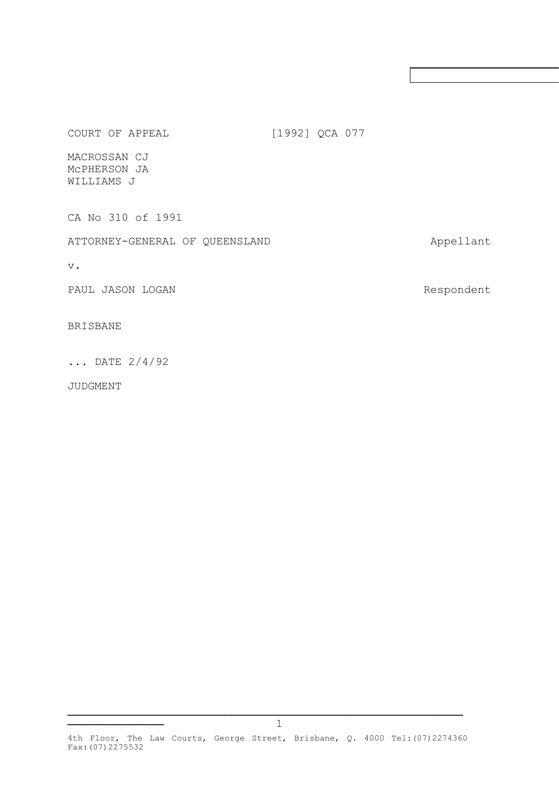COURT OF APPEAL [1992] QCA 077

MACROSSAN CJ McPHERSON JA WILLIAMS J

CA No 310 of 1991

ATTORNEY-GENERAL OF QUEENSLAND Appellant

v.

PAUL JASON LOGAN **Respondent** 

BRISBANE

... DATE 2/4/92

**\_\_\_\_\_\_\_\_\_\_\_\_\_\_\_\_\_\_\_**

JUDGMENT

4th Floor, The Law Courts, George Street, Brisbane, Q. 4000 Tel:(07)2274360 Fax:(07)2275532

**\_\_\_\_\_\_\_\_\_\_\_\_\_\_\_\_\_\_\_\_\_\_\_\_\_\_\_\_\_\_\_\_\_\_\_\_\_\_\_\_\_\_\_\_\_\_\_\_\_\_\_\_\_\_\_\_\_\_\_\_\_\_\_\_\_\_\_\_\_\_\_\_\_\_\_\_\_\_**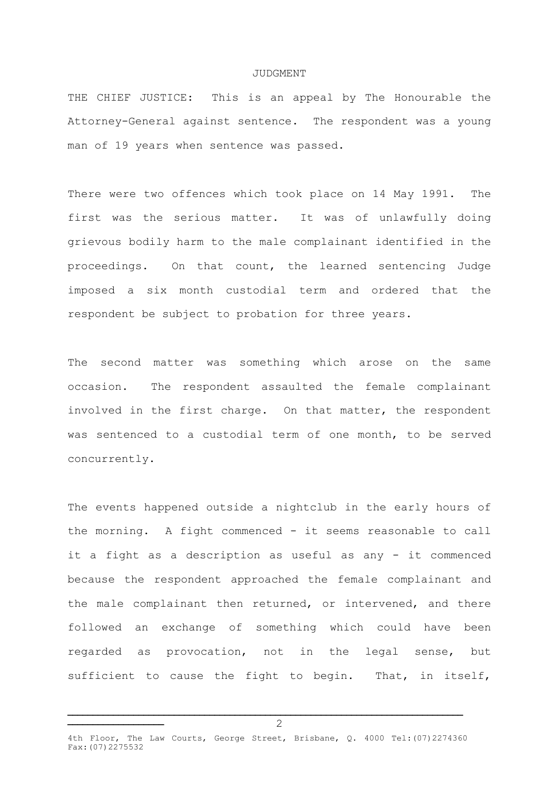## JUDGMENT

THE CHIEF JUSTICE: This is an appeal by The Honourable the Attorney-General against sentence. The respondent was a young man of 19 years when sentence was passed.

There were two offences which took place on 14 May 1991. The first was the serious matter. It was of unlawfully doing grievous bodily harm to the male complainant identified in the proceedings. On that count, the learned sentencing Judge imposed a six month custodial term and ordered that the respondent be subject to probation for three years.

The second matter was something which arose on the same occasion. The respondent assaulted the female complainant involved in the first charge. On that matter, the respondent was sentenced to a custodial term of one month, to be served concurrently.

The events happened outside a nightclub in the early hours of the morning. A fight commenced - it seems reasonable to call it a fight as a description as useful as any - it commenced because the respondent approached the female complainant and the male complainant then returned, or intervened, and there followed an exchange of something which could have been regarded as provocation, not in the legal sense, but sufficient to cause the fight to begin. That, in itself,

**\_\_\_\_\_\_\_\_\_\_\_\_\_\_\_\_\_\_\_\_\_\_\_\_\_\_\_\_\_\_\_\_\_\_\_\_\_\_\_\_\_\_\_\_\_\_\_\_\_\_\_\_\_\_\_\_\_\_\_\_\_\_\_\_\_\_\_\_\_\_\_\_\_\_\_\_\_\_**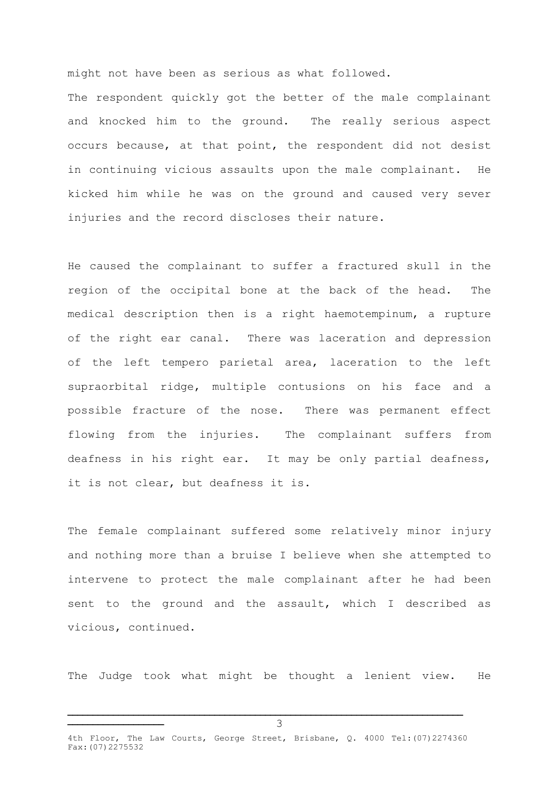might not have been as serious as what followed.

The respondent quickly got the better of the male complainant and knocked him to the ground. The really serious aspect occurs because, at that point, the respondent did not desist in continuing vicious assaults upon the male complainant. He kicked him while he was on the ground and caused very sever injuries and the record discloses their nature.

He caused the complainant to suffer a fractured skull in the region of the occipital bone at the back of the head. The medical description then is a right haemotempinum, a rupture of the right ear canal. There was laceration and depression of the left tempero parietal area, laceration to the left supraorbital ridge, multiple contusions on his face and a possible fracture of the nose. There was permanent effect flowing from the injuries. The complainant suffers from deafness in his right ear. It may be only partial deafness, it is not clear, but deafness it is.

The female complainant suffered some relatively minor injury and nothing more than a bruise I believe when she attempted to intervene to protect the male complainant after he had been sent to the ground and the assault, which I described as vicious, continued.

The Judge took what might be thought a lenient view. He

**\_\_\_\_\_\_\_\_\_\_\_\_\_\_\_\_\_\_\_\_\_\_\_\_\_\_\_\_\_\_\_\_\_\_\_\_\_\_\_\_\_\_\_\_\_\_\_\_\_\_\_\_\_\_\_\_\_\_\_\_\_\_\_\_\_\_\_\_\_\_\_\_\_\_\_\_\_\_**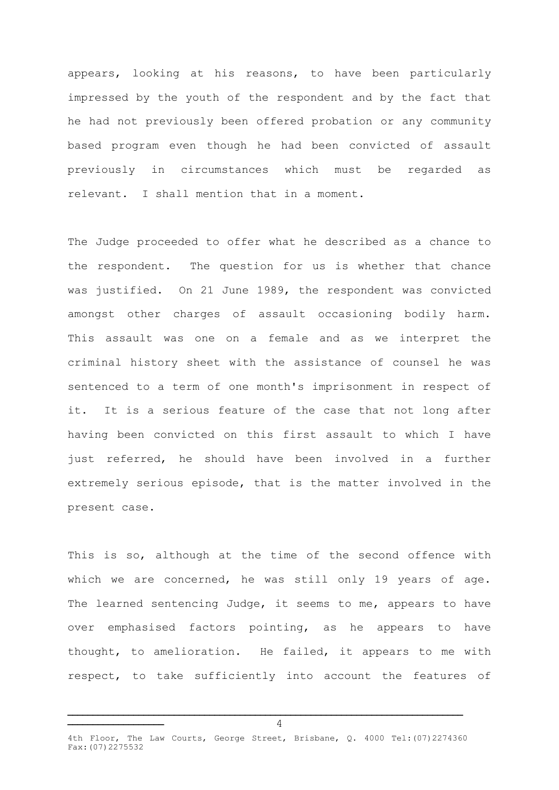appears, looking at his reasons, to have been particularly impressed by the youth of the respondent and by the fact that he had not previously been offered probation or any community based program even though he had been convicted of assault previously in circumstances which must be regarded as relevant. I shall mention that in a moment.

The Judge proceeded to offer what he described as a chance to the respondent. The question for us is whether that chance was justified. On 21 June 1989, the respondent was convicted amongst other charges of assault occasioning bodily harm. This assault was one on a female and as we interpret the criminal history sheet with the assistance of counsel he was sentenced to a term of one month's imprisonment in respect of it. It is a serious feature of the case that not long after having been convicted on this first assault to which I have just referred, he should have been involved in a further extremely serious episode, that is the matter involved in the present case.

This is so, although at the time of the second offence with which we are concerned, he was still only 19 years of age. The learned sentencing Judge, it seems to me, appears to have over emphasised factors pointing, as he appears to have thought, to amelioration. He failed, it appears to me with respect, to take sufficiently into account the features of

**\_\_\_\_\_\_\_\_\_\_\_\_\_\_\_\_\_\_\_\_\_\_\_\_\_\_\_\_\_\_\_\_\_\_\_\_\_\_\_\_\_\_\_\_\_\_\_\_\_\_\_\_\_\_\_\_\_\_\_\_\_\_\_\_\_\_\_\_\_\_\_\_\_\_\_\_\_\_**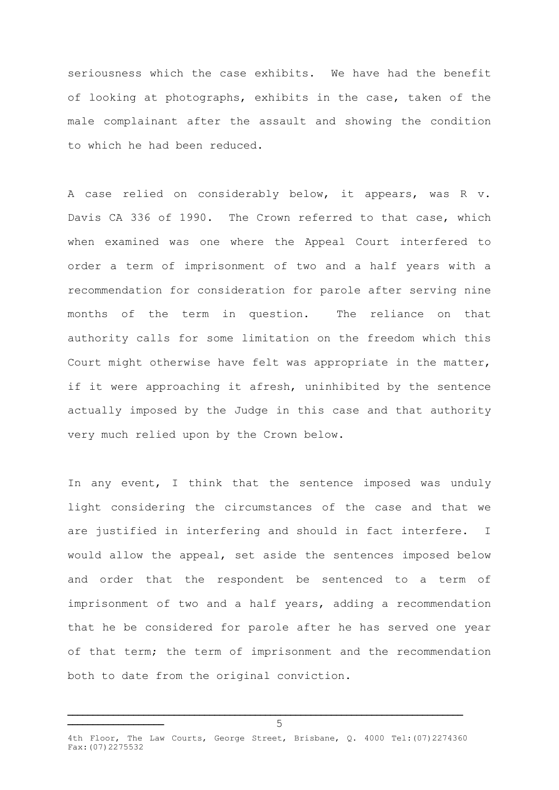seriousness which the case exhibits. We have had the benefit of looking at photographs, exhibits in the case, taken of the male complainant after the assault and showing the condition to which he had been reduced.

A case relied on considerably below, it appears, was R v. Davis CA 336 of 1990. The Crown referred to that case, which when examined was one where the Appeal Court interfered to order a term of imprisonment of two and a half years with a recommendation for consideration for parole after serving nine months of the term in question. The reliance on that authority calls for some limitation on the freedom which this Court might otherwise have felt was appropriate in the matter, if it were approaching it afresh, uninhibited by the sentence actually imposed by the Judge in this case and that authority very much relied upon by the Crown below.

In any event, I think that the sentence imposed was unduly light considering the circumstances of the case and that we are justified in interfering and should in fact interfere. I would allow the appeal, set aside the sentences imposed below and order that the respondent be sentenced to a term of imprisonment of two and a half years, adding a recommendation that he be considered for parole after he has served one year of that term; the term of imprisonment and the recommendation both to date from the original conviction.

**\_\_\_\_\_\_\_\_\_\_\_\_\_\_\_\_\_\_\_\_\_\_\_\_\_\_\_\_\_\_\_\_\_\_\_\_\_\_\_\_\_\_\_\_\_\_\_\_\_\_\_\_\_\_\_\_\_\_\_\_\_\_\_\_\_\_\_\_\_\_\_\_\_\_\_\_\_\_**